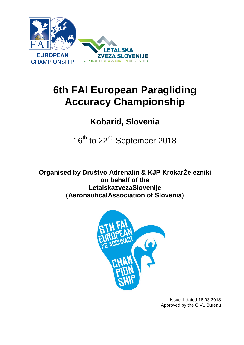

# **6th FAI European Paragliding Accuracy Championship**

## **Kobarid, Slovenia**

16<sup>th</sup> to 22<sup>nd</sup> September 2018

**Organised by Društvo Adrenalin & KJP KrokarŽelezniki on behalf of the LetalskazvezaSlovenije (AeronauticalAssociation of Slovenia)**



Issue 1 dated 16.03.2018 Approved by the CIVL Bureau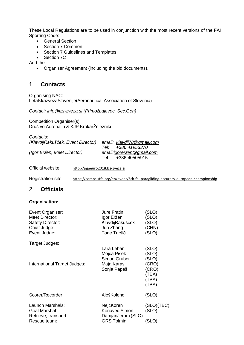These Local Regulations are to be used in conjunction with the most recent versions of the FAI Sporting Code:

- General Section
- 
- Section 7 Common<br>• Section 7 Guidelines **Section 7 Guidelines and Templates**
- Section 7C

And the:

• Organiser Agreement (including the bid documents).

#### 1. **Contacts**

Organising NAC: LetalskazvezaSlovenije(Aeronautical Association of Slovenia)

*Contact: [info@lzs-zveza.si](mailto:info@lzs-zveza.si) (PrimožLajevec, Sec.Gen)*

Competition Organiser(s): Društvo Adrenalin & KJP KrokarŽelezniki

| Contacts:                         |                             |  |
|-----------------------------------|-----------------------------|--|
| (KlavdijRakušček, Event Director) | email: klavdij78@gmail.com  |  |
|                                   | Tel: +386 41953370          |  |
| (Igor Eržen, Meet Director)       | email: igorerzen @gmail.com |  |
|                                   | Tel: +386 40505915          |  |

Official website: [http://pgaeuro2018.lzs-zveza.si](http://pgaeuro2018.lzs-zveza.si/)

Registration site: <https://comps.sffa.org/en/event/6th-fai-paragliding-accuracy-european-championship>

#### 2. **Officials**

#### **Organisation:**

| Event Organiser:<br><b>Meet Director:</b><br><b>Safety Director:</b><br>Chief Judge:<br>Event Judge: | <b>Jure Fratin</b><br>Igor Eržen<br>KlavdijRakušček<br>Jun Zhang<br>Tone Turšič | (SLO)<br>(SLO)<br>(SLO)<br>(CHN)<br>(SLO) |
|------------------------------------------------------------------------------------------------------|---------------------------------------------------------------------------------|-------------------------------------------|
| Target Judges:                                                                                       | Lara Leban                                                                      | (SLO)                                     |
|                                                                                                      | Mojca Pišek                                                                     | (SLO)                                     |
| International Target Judges:                                                                         | Simon Gruber<br>Maja Karas                                                      | (SLO)<br>(CRO)                            |
|                                                                                                      | Sonja Papeš                                                                     | (CRO)                                     |
|                                                                                                      |                                                                                 | (TBA)                                     |
|                                                                                                      |                                                                                 | (TBA)                                     |
|                                                                                                      |                                                                                 | (TBA)                                     |
| Scorer/Recorder:                                                                                     | AlešKolenc                                                                      | (SLO)                                     |
| Launch Marshals:                                                                                     | NejcKoren                                                                       | (SLO)(TBC)                                |
| Goal Marshal:                                                                                        | Konavec Simon                                                                   | (SLO)                                     |
| Retrieve, transport:                                                                                 | DamjanJeram (SLO)                                                               |                                           |
| Rescue team:                                                                                         | <b>GRS Tolmin</b>                                                               | SLO)                                      |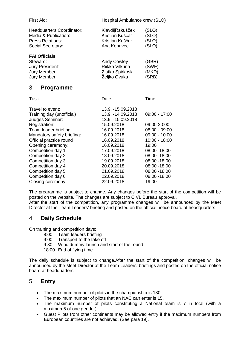| First Aid:                                                                                        | Hospital Ambulance crew (SLO)                                        |                                  |
|---------------------------------------------------------------------------------------------------|----------------------------------------------------------------------|----------------------------------|
| Headquarters Coordinator:<br>Media & Publication:<br><b>Press Relations:</b><br>Social Secretary: | KlavdijRakušček<br>Kristian Kuščar<br>Kristian Kuščar<br>Ana Konavec | (SLO)<br>(SLO)<br>(SLO)<br>(SLO) |
| <b>FAI Officials</b><br>Steward:<br>Jury President:<br>Jury Member:<br>Jury Member:               | Andy Cowley<br>Riikka Vilkuna<br>Zlatko Spirkoski<br>Željko Ovuka    | (GBR)<br>(SWE)<br>(MKD)<br>(SRB) |
| 3.<br><b>Programme</b>                                                                            |                                                                      |                                  |
| Task                                                                                              | Date                                                                 | Time                             |
| Travel to event:                                                                                  | 13.9. -15.09.2018                                                    |                                  |

| Travel to event:           | 13.9. -15.09.2018  |                 |
|----------------------------|--------------------|-----------------|
| Training day (unofficial)  | 13.9. - 14.09.2018 | $09:00 - 17:00$ |
| Judges Seminar:            | 13.9. - 15.09.2018 |                 |
| Registration:              | 15.09.2018         | 09:00-20:00     |
| Team leader briefing:      | 16.09.2018         | $08:00 - 09:00$ |
| Mandatory safety briefing: | 16.09.2018         | $09:00 - 10:00$ |
| Official practice round    | 16.09.2018         | $10:00 - 18:00$ |
| Opening ceremony:          | 16.09.2018         | 19:00           |
| Competition day 1          | 17.09.2018         | 08:00 - 18:00   |
| Competition day 2          | 18.09.2018         | 08:00 - 18:00   |
| Competition day 3          | 19.09.2018         | 08:00 -18:00    |
| Competition day 4          | 20.09.2018         | 08:00 -18:00    |
| Competition day 5          | 21.09.2018         | 08:00 -18:00    |
| Competition day 6          | 22.09.2018         | 08:00 - 18:00   |
| Closing ceremony:          | 22.09.2018         | 19:00           |
|                            |                    |                 |

The programme is subject to change. Any changes before the start of the competition will be posted on the website. The changes are subject to CIVL Bureau approval.

After the start of the competition, any programme changes will be announced by the Meet Director at the Team Leaders' briefing and posted on the official notice board at headquarters.

## 4. **Daily Schedule**

On training and competition days:

- 8:00 Team leaders briefing
- 9:00 Transport to the take off
- 9:30 Wind dummy launch and start of the round
- 18:00 End of flying time

The daily schedule is subject to change.After the start of the competition, changes will be announced by the Meet Director at the Team Leaders' briefings and posted on the official notice board at headquarters.

#### 5. **Entry**

- The maximum number of pilots in the championship is 130.
- The maximum number of pilots that an NAC can enter is 15.
- The maximum number of pilots constituting a National team is 7 in total (with a maximum5 of one gender).
- Guest Pilots from other continents may be allowed entry if the maximum numbers from European countries are not achieved. (See para 19).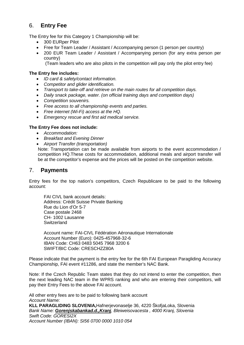## 6. **Entry Fee**

The Entry fee for this Category 1 Championship will be:

- 300 EURper Pilot
- Free for Team Leader / Assistant / Accompanying person (1 person per country)
- 200 EUR Team Leader / Assistant / Accompanying person (for any extra person per country)

(Team leaders who are also pilots in the competition will pay only the pilot entry fee)

#### **The Entry fee includes:**

- *ID card & safety/contact information.*
- *Competitor and glider identification.*
- *Transport to take-off and retrieve on the main routes for all competition days.*
- *Daily snack package, water. (on official training days and competition days)*
- *Competition souvenirs.*
- *Free access to all championship events and parties.*
- *Free internet (Wi-Fi) access at the HQ.*
- *Emergency rescue and first aid medical service.*

#### **The Entry Fee does not include:**

- *Accommodation:*
- *Breakfast and Evening Dinner*
- *Airport Transfer (transportation)*

Note: Transportation can be made available from airports to the event accommodation / competition HQ.These costs for accommodation, additional meals and airport transfer will be at the competitor's expense and the prices will be posted on the competition website.

#### 7. **Payments**

Entry fees for the top nation's competitors, Czech Republicare to be paid to the following account:

FAI CIVL bank account details: Address: Crédit Suisse Private Banking Rue du Lion d'Or 5-7 Case postale 2468 CH- 1002 Lausanne **Switzerland** 

Account name: FAI-CIVL Fédération Aéronautique Internationale Account Number (Euro): 0425-457968-32-6 IBAN Code: CH63 0483 5045 7968 3200 6 SWIFT/BIC Code: CRESCHZZ80A

Please indicate that the payment is the entry fee for the 6th FAI European Paragliding Accuracy Championship, FAI event #11286, and state the member's NAC Bank.

Note: If the Czech Republic Team states that they do not intend to enter the competition, then the next leading NAC team in the WPRS ranking and who are entering their competitors, will pay their Entry Fees to the above FAI account.

All other entry fees are to be paid to following bank account *Account Name:* **KLL PARAGLIDING SLOVENIA,**Hafnerjevonaselje 36, 4220 ŠkofjaLoka, Slovenia *Bank Name: [Gorenjskabankad.d.,Kranj](https://www.gbkr.si/o-gorenjski-banki/vizitka), Bleiweisovacesta , 4000 Kranj, Slovenia Swift Code: GORESI2X Account Number (IBAN): SI56 0700 0000 1010 054*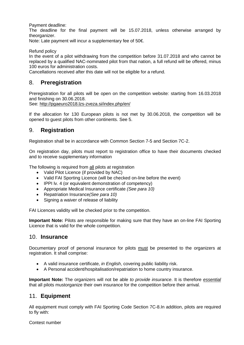Payment deadline:

The deadline for the final payment will be 15.07.2018, unless otherwise arranged by theorganizer.

Note: Late payment will incur a supplementary fee of 50€.

Refund policy

In the event of a pilot withdrawing from the competition before 31.07.2018 and who cannot be replaced by a qualified NAC-nominated pilot from that nation, a full refund will be offered, minus 100 euros for administration costs.

Cancellations received after this date will not be eligible for a refund.

## 8. **Preregistration**

Preregistration for all pilots will be open on the competition website: starting from 16.03.2018 and finishing on 30.06.2018.

See:<http://pgaeuro2018.lzs-zveza.si/index.php/en/>

If the allocation for 130 European pilots is not met by 30.06.2018, the competition will be opened to guest pilots from other continents. See 5.

#### 9. **Registration**

Registration shall be in accordance with Common Section 7-5 and Section 7C-2.

On registration day, pilots must report to registration office to have their documents checked and to receive supplementary information

The following is required from all pilots at registration

- Valid Pilot Licence (if provided by NAC)
- Valid FAI Sporting Licence (will be checked on-line before the event)
- IPPI lv. 4 (or equivalent demonstration of competency)
- Appropriate Medical Insurance certificate *(See para 10)*
- Repatriation Insurance*(See para 10)*
- Signing a waiver of release of liability

FAI Licences validity will be checked prior to the competition.

**Important Note:** Pilots are responsible for making sure that they have an on-line FAI Sporting Licence that is valid for the whole competition.

#### 10. **Insurance**

Documentary proof of personal insurance for pilots must be presented to the organizers at registration. It shall comprise:

- A valid insurance certificate, *in English*, covering public liability risk.
- A Personal accident/hospitalisation/repatriation to home country insurance.

**Important Note:** The organizers will not be able *to provide insurance*. It is therefore *essential* that all pilots mustorganize their own insurance for the competition before their arrival.

#### 11. **Equipment**

All equipment must comply with FAI Sporting Code Section 7C-8.In addition, pilots are required to fly with:

Contest number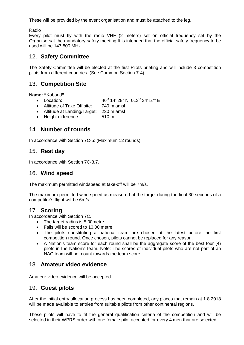These will be provided by the event organisation and must be attached to the leg.

Radio

Every pilot must fly with the radio VHF (2 meters) set on official frequency set by the Organisersat the mandatory safety meeting.It is intended that the official safety frequency to be used will be 147.800 MHz.

## 12. **Safety Committee**

The Safety Committee will be elected at the first Pilots briefing and will include 3 competition pilots from different countries. (See Common Section 7-4).

## 13. **Competition Site**

**Name: "**Kobarid**"** 

- Location:  $46^{\circ}$  14' 28" N 013<sup>o</sup> 34' 57" E<br>• Altitude of Take Off site: 740 m amsl
- Altitude of Take Off site:
- Altitude at Landing/Target: 230 m amsl
- Height difference: 510 m

## 14. **Number of rounds**

In accordance with Section 7C-5: (Maximum 12 rounds)

## 15. **Rest day**

In accordance with Section 7C-3.7.

#### 16. **Wind speed**

The maximum permitted windspeed at take-off will be 7m/s.

The maximum permitted wind speed as measured at the target during the final 30 seconds of a competitor's flight will be 6m/s.

#### 17. **Scoring**

In accordance with Section 7C.

- The target radius is 5.00metre
- Falls will be scored to 10.00 metre
- The pilots constituting a national team are chosen at the latest before the first competition round. Once chosen, pilots cannot be replaced for any reason.
- A Nation's team score for each round shall be the aggregate score of the best four (4) pilots in the Nation's team. Note: The scores of individual pilots who are not part of an NAC team will not count towards the team score.

## 18. **Amateur video evidence**

Amateur video evidence will be accepted.

## 19. **Guest pilots**

After the initial entry allocation process has been completed, any places that remain at 1.8.2018 will be made available to entries from suitable pilots from other continental regions.

These pilots will have to fit the general qualification criteria of the competition and will be selected in their WPRS order with one female pilot accepted for every 4 men that are selected.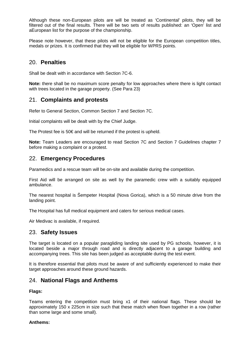Although these non-European pilots are will be treated as 'Continental' pilots, they will be filtered out of the final results. There will be two sets of results published: an 'Open' list and aEuropean list for the purpose of the championship.

Please note however, that these pilots will not be eligible for the European competition titles, medals or prizes. It is confirmed that they will be eligible for WPRS points.

#### 20. **Penalties**

Shall be dealt with in accordance with Section 7C-6.

**Note:** there shall be no maximum score penalty for low approaches where there is light contact with trees located in the garage property. (See Para 23)

#### 21. **Complaints and protests**

Refer to General Section, Common Section 7 and Section 7C.

Initial complaints will be dealt with by the Chief Judge.

The Protest fee is 50€ and will be returned if the protest is upheld.

**Note:** Team Leaders are encouraged to read Section 7C and Section 7 Guidelines chapter 7 before making a complaint or a protest.

#### 22. **Emergency Procedures**

Paramedics and a rescue team will be on-site and available during the competition.

First Aid will be arranged on site as well by the paramedic crew with a suitably equipped ambulance.

The nearest hospital is Šempeter Hospital (Nova Gorica), which is a 50 minute drive from the landing point.

The Hospital has full medical equipment and caters for serious medical cases.

Air Medivac is available, if required.

#### 23. **Safety Issues**

The target is located on a popular paragliding landing site used by PG schools, however, it is located beside a major through road and is directly adjacent to a garage building and accompanying trees. This site has been judged as acceptable during the test event.

It is therefore essential that pilots must be aware of and sufficiently experienced to make their target approaches around these ground hazards.

#### 24. **National Flags and Anthems**

#### **Flags:**

Teams entering the competition must bring x1 of their national flags. These should be approximately 150 x 225cm in size such that these match when flown together in a row (rather than some large and some small).

#### **Anthems:**